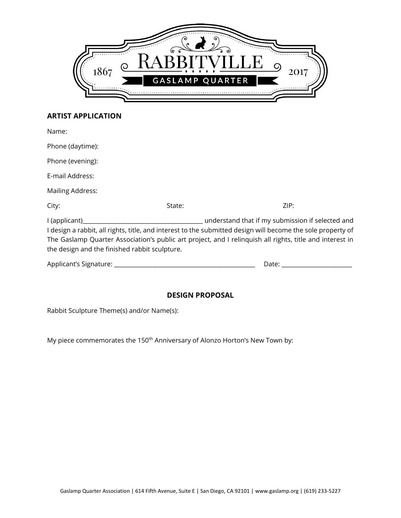

## **ARTIST APPLICATION**

| Name:                                                                                                                                                                                                                                                                                                                                         |        |       |
|-----------------------------------------------------------------------------------------------------------------------------------------------------------------------------------------------------------------------------------------------------------------------------------------------------------------------------------------------|--------|-------|
| Phone (daytime):                                                                                                                                                                                                                                                                                                                              |        |       |
| Phone (evening):                                                                                                                                                                                                                                                                                                                              |        |       |
| E-mail Address:                                                                                                                                                                                                                                                                                                                               |        |       |
| <b>Mailing Address:</b>                                                                                                                                                                                                                                                                                                                       |        |       |
| City:                                                                                                                                                                                                                                                                                                                                         | State: | ZIP:  |
| understand that if my submission if selected and<br>I (applicant)<br>I design a rabbit, all rights, title, and interest to the submitted design will become the sole property of<br>The Gaslamp Quarter Association's public art project, and I relinguish all rights, title and interest in<br>the design and the finished rabbit sculpture. |        |       |
| Applicant's Signature: ___                                                                                                                                                                                                                                                                                                                    |        | Date: |

## **DESIGN PROPOSAL**

Rabbit Sculpture Theme(s) and/or Name(s):

My piece commemorates the 150<sup>th</sup> Anniversary of Alonzo Horton's New Town by: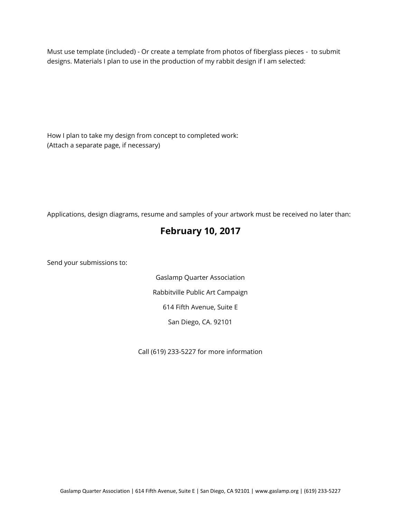Must use template (included) - Or create a template from photos of fiberglass pieces - to submit designs. Materials I plan to use in the production of my rabbit design if I am selected:

How I plan to take my design from concept to completed work: (Attach a separate page, if necessary)

Applications, design diagrams, resume and samples of your artwork must be received no later than:

## **February 10, 2017**

Send your submissions to:

Gaslamp Quarter Association Rabbitville Public Art Campaign 614 Fifth Avenue, Suite E San Diego, CA. 92101

Call (619) 233-5227 for more information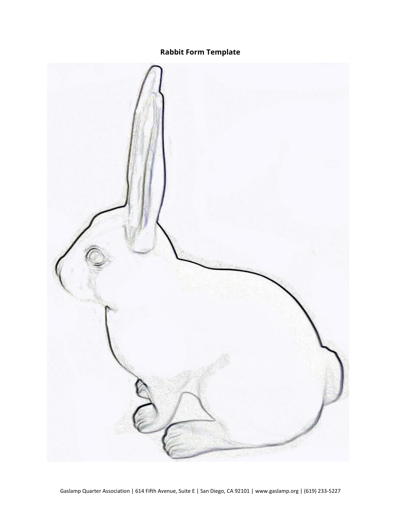**Rabbit Form Template**